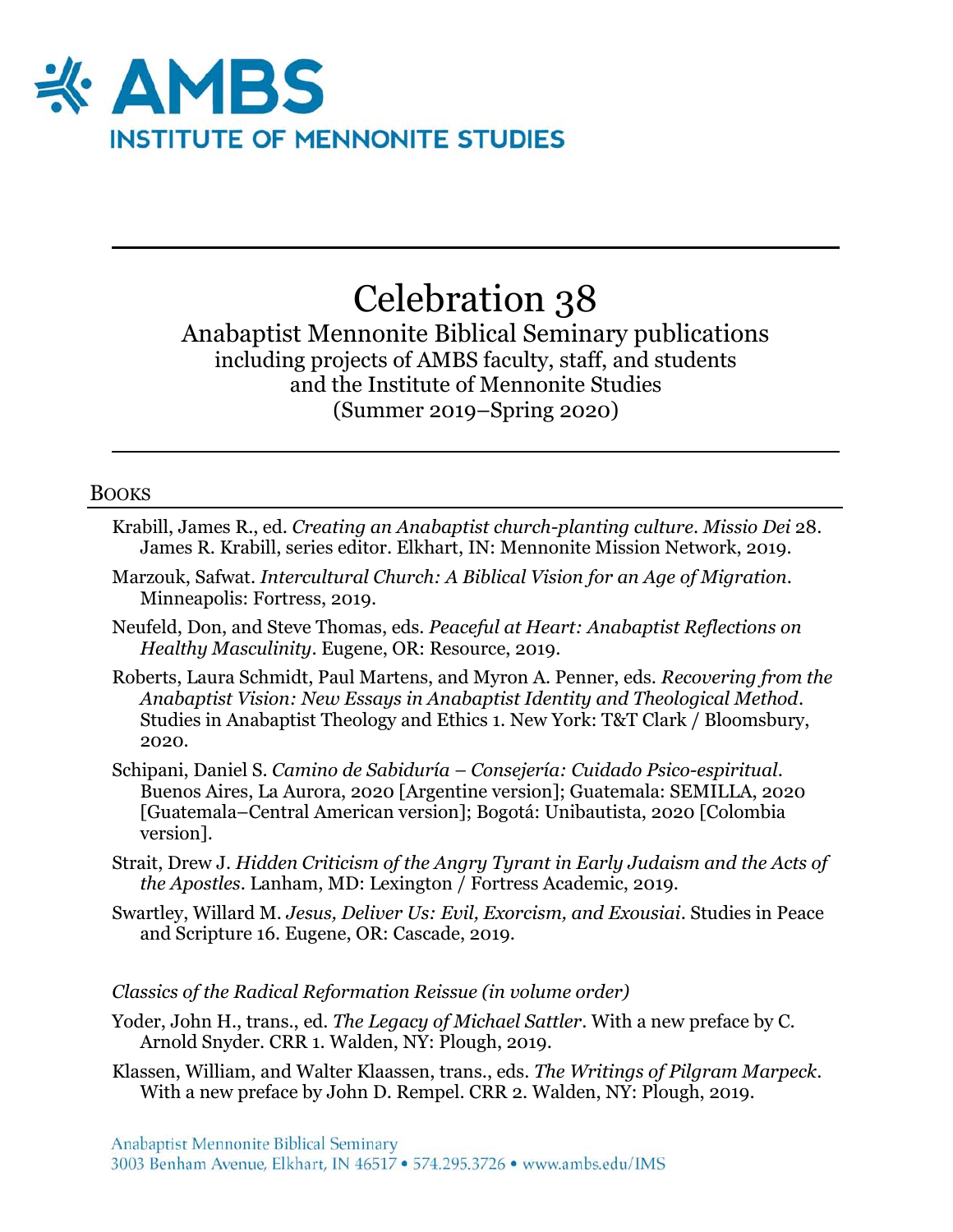

# Celebration 38

Anabaptist Mennonite Biblical Seminary publications including projects of AMBS faculty, staff, and students and the Institute of Mennonite Studies (Summer 2019–Spring 2020)

#### **BOOKS**

- Krabill, James R., ed. *Creating an Anabaptist church-planting culture*. *Missio Dei* 28. James R. Krabill, series editor. Elkhart, IN: Mennonite Mission Network, 2019.
- Marzouk, Safwat. *Intercultural Church: A Biblical Vision for an Age of Migration*. Minneapolis: Fortress, 2019.
- Neufeld, Don, and Steve Thomas, eds. *Peaceful at Heart: Anabaptist Reflections on Healthy Masculinity*. Eugene, OR: Resource, 2019.
- Roberts, Laura Schmidt, Paul Martens, and Myron A. Penner, eds. *Recovering from the Anabaptist Vision: New Essays in Anabaptist Identity and Theological Method*. Studies in Anabaptist Theology and Ethics 1. New York: T&T Clark / Bloomsbury, 2020.
- Schipani, Daniel S. *Camino de Sabiduría – Consejería: Cuidado Psico-espiritual*. Buenos Aires, La Aurora, 2020 [Argentine version]; Guatemala: SEMILLA, 2020 [Guatemala–Central American version]; Bogotá: Unibautista, 2020 [Colombia version].
- Strait, Drew J. *Hidden Criticism of the Angry Tyrant in Early Judaism and the Acts of the Apostles*. Lanham, MD: Lexington / Fortress Academic, 2019.
- Swartley, Willard M. *Jesus, Deliver Us: Evil, Exorcism, and Exousiai*. Studies in Peace and Scripture 16. Eugene, OR: Cascade, 2019.

#### *Classics of the Radical Reformation Reissue (in volume order)*

- Yoder, John H., trans., ed. *The Legacy of Michael Sattler*. With a new preface by C. Arnold Snyder. CRR 1. Walden, NY: Plough, 2019.
- Klassen, William, and Walter Klaassen, trans., eds. *The Writings of Pilgram Marpeck*. With a new preface by John D. Rempel. CRR 2. Walden, NY: Plough, 2019.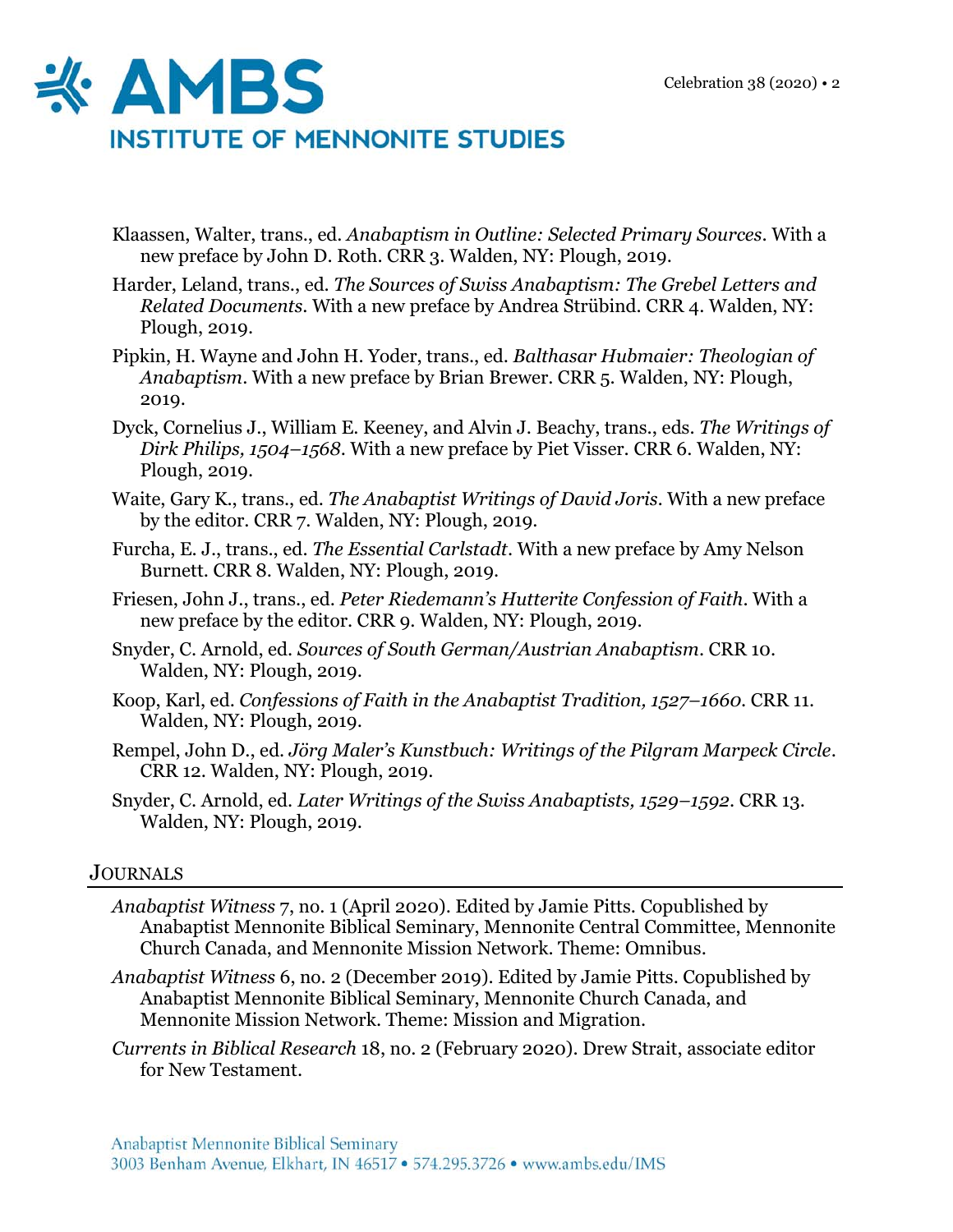

- Klaassen, Walter, trans., ed. *Anabaptism in Outline: Selected Primary Sources*. With a new preface by John D. Roth. CRR 3. Walden, NY: Plough, 2019.
- Harder, Leland, trans., ed. *The Sources of Swiss Anabaptism: The Grebel Letters and Related Documents*. With a new preface by Andrea Strübind. CRR 4. Walden, NY: Plough, 2019.
- Pipkin, H. Wayne and John H. Yoder, trans., ed. *Balthasar Hubmaier: Theologian of Anabaptism*. With a new preface by Brian Brewer. CRR 5. Walden, NY: Plough, 2019.
- Dyck, Cornelius J., William E. Keeney, and Alvin J. Beachy, trans., eds. *The Writings of Dirk Philips, 1504–1568*. With a new preface by Piet Visser. CRR 6. Walden, NY: Plough, 2019.
- Waite, Gary K., trans., ed. *The Anabaptist Writings of David Joris.* With a new preface by the editor. CRR 7. Walden, NY: Plough, 2019.
- Furcha, E. J., trans., ed. *The Essential Carlstadt*. With a new preface by Amy Nelson Burnett. CRR 8. Walden, NY: Plough, 2019.
- Friesen, John J., trans., ed. *Peter Riedemann's Hutterite Confession of Faith*. With a new preface by the editor. CRR 9. Walden, NY: Plough, 2019.
- Snyder, C. Arnold, ed. *Sources of South German/Austrian Anabaptism*. CRR 10. Walden, NY: Plough, 2019.
- Koop, Karl, ed. *Confessions of Faith in the Anabaptist Tradition, 1527–1660*. CRR 11. Walden, NY: Plough, 2019.
- Rempel, John D., ed. *Jörg Maler's Kunstbuch: Writings of the Pilgram Marpeck Circle*. CRR 12. Walden, NY: Plough, 2019.
- Snyder, C. Arnold, ed. *Later Writings of the Swiss Anabaptists, 1529–1592*. CRR 13. Walden, NY: Plough, 2019.

## **JOURNALS**

- *Anabaptist Witness* 7, no. 1 (April 2020). Edited by Jamie Pitts. Copublished by Anabaptist Mennonite Biblical Seminary, Mennonite Central Committee, Mennonite Church Canada, and Mennonite Mission Network. Theme: Omnibus.
- *Anabaptist Witness* 6, no. 2 (December 2019). Edited by Jamie Pitts. Copublished by Anabaptist Mennonite Biblical Seminary, Mennonite Church Canada, and Mennonite Mission Network. Theme: Mission and Migration.
- *Currents in Biblical Research* 18, no. 2 (February 2020). Drew Strait, associate editor for New Testament.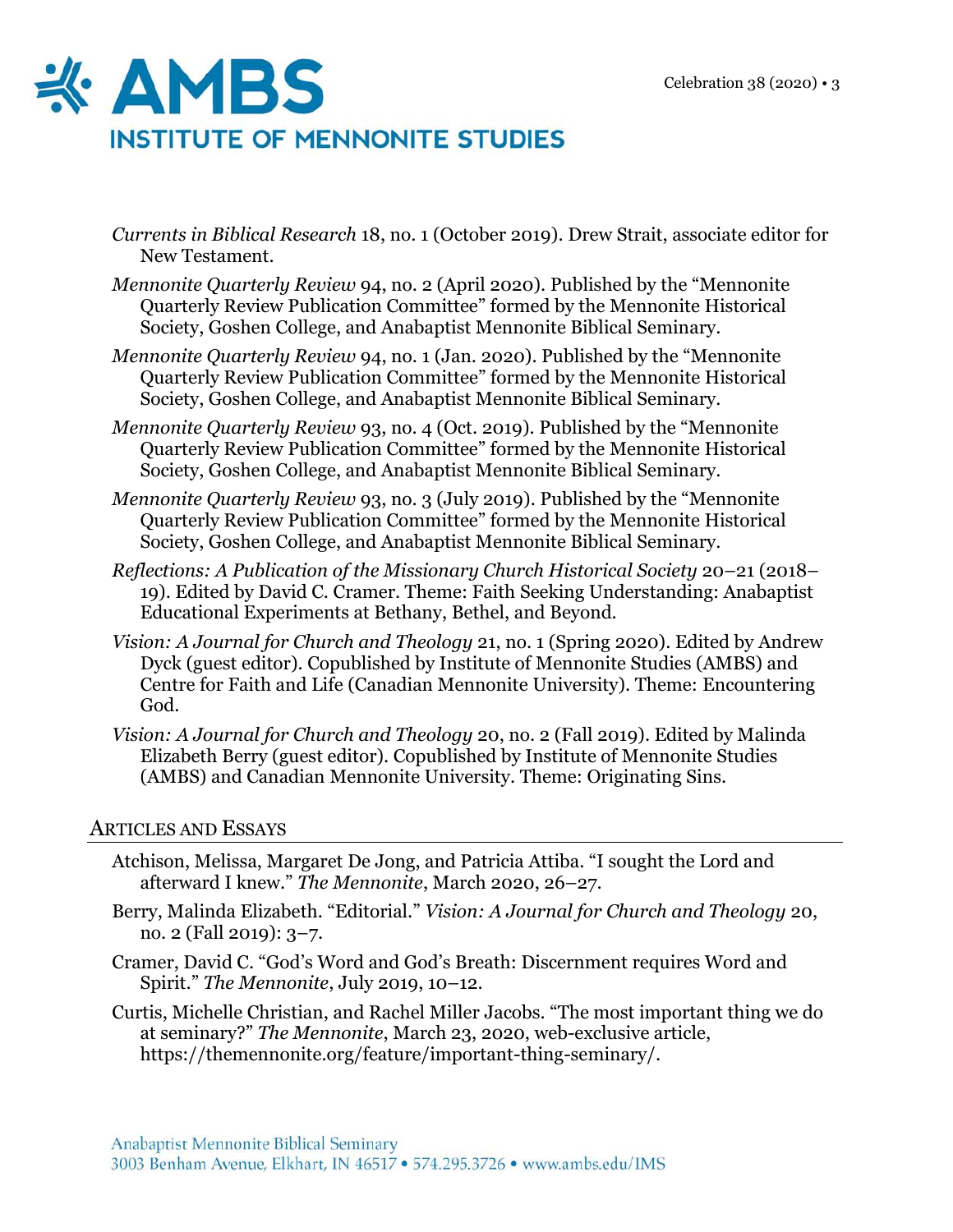

- *Currents in Biblical Research* 18, no. 1 (October 2019). Drew Strait, associate editor for New Testament.
- *Mennonite Quarterly Review* 94, no. 2 (April 2020). Published by the "Mennonite Quarterly Review Publication Committee" formed by the Mennonite Historical Society, Goshen College, and Anabaptist Mennonite Biblical Seminary.
- *Mennonite Quarterly Review* 94, no. 1 (Jan. 2020). Published by the "Mennonite Quarterly Review Publication Committee" formed by the Mennonite Historical Society, Goshen College, and Anabaptist Mennonite Biblical Seminary.
- *Mennonite Quarterly Review* 93, no. 4 (Oct. 2019). Published by the "Mennonite Quarterly Review Publication Committee" formed by the Mennonite Historical Society, Goshen College, and Anabaptist Mennonite Biblical Seminary.
- *Mennonite Quarterly Review* 93, no. 3 (July 2019). Published by the "Mennonite Quarterly Review Publication Committee" formed by the Mennonite Historical Society, Goshen College, and Anabaptist Mennonite Biblical Seminary.
- *Reflections: A Publication of the Missionary Church Historical Society* 20–21 (2018– 19). Edited by David C. Cramer. Theme: Faith Seeking Understanding: Anabaptist Educational Experiments at Bethany, Bethel, and Beyond.
- *Vision: A Journal for Church and Theology* 21, no. 1 (Spring 2020). Edited by Andrew Dyck (guest editor). Copublished by Institute of Mennonite Studies (AMBS) and Centre for Faith and Life (Canadian Mennonite University). Theme: Encountering God.
- *Vision: A Journal for Church and Theology* 20, no. 2 (Fall 2019). Edited by Malinda Elizabeth Berry (guest editor). Copublished by Institute of Mennonite Studies (AMBS) and Canadian Mennonite University. Theme: Originating Sins.

### ARTICLES AND ESSAYS

- Atchison, Melissa, Margaret De Jong, and Patricia Attiba. "I sought the Lord and afterward I knew." *The Mennonite*, March 2020, 26–27.
- Berry, Malinda Elizabeth. "Editorial." *Vision: A Journal for Church and Theology* 20, no. 2 (Fall 2019): 3–7.
- Cramer, David C. "God's Word and God's Breath: Discernment requires Word and Spirit." *The Mennonite*, July 2019, 10–12.
- Curtis, Michelle Christian, and Rachel Miller Jacobs. "The most important thing we do at seminary?" *The Mennonite*, March 23, 2020, web-exclusive article, https://themennonite.org/feature/important-thing-seminary/.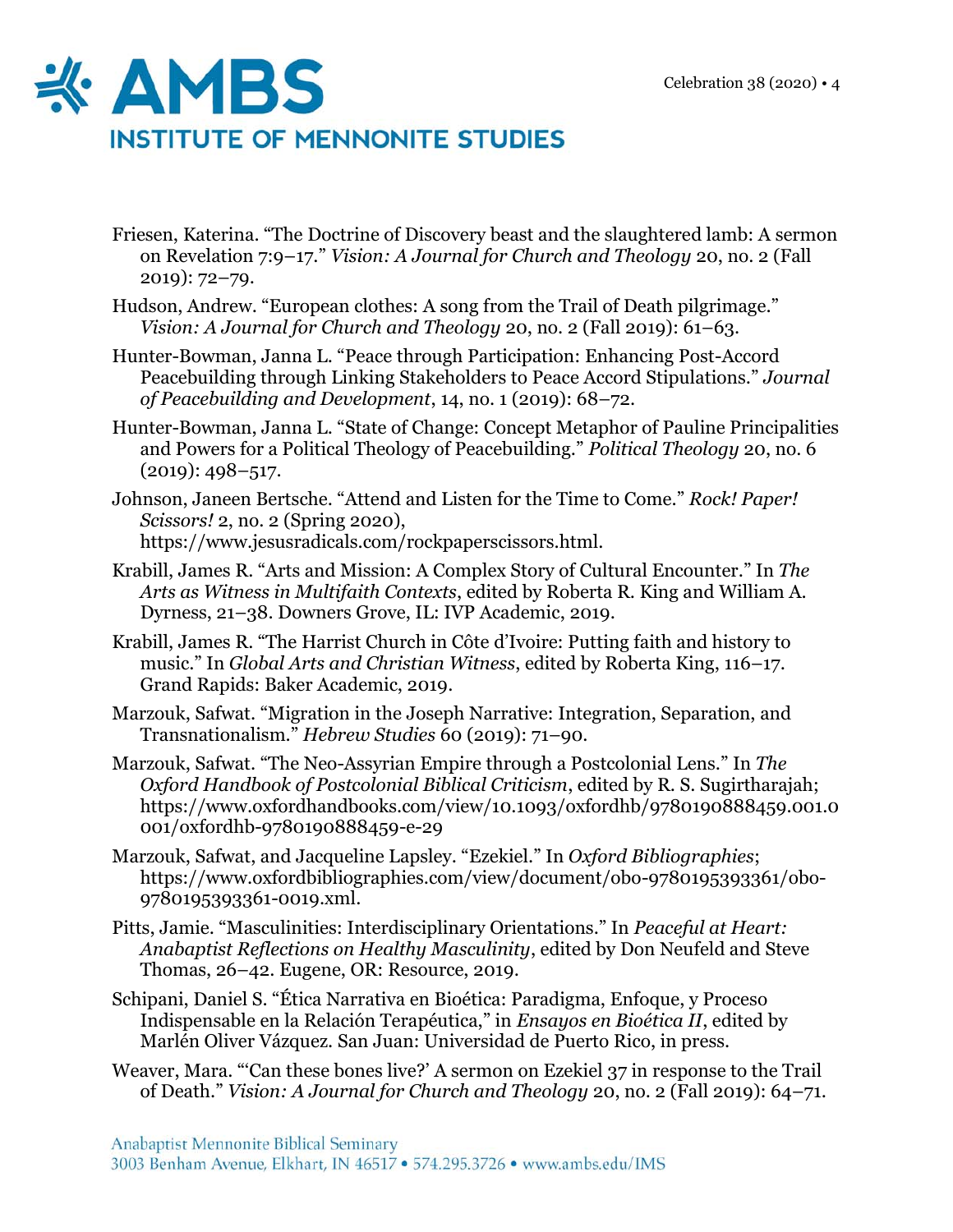

- Friesen, Katerina. "The Doctrine of Discovery beast and the slaughtered lamb: A sermon on Revelation 7:9–17." *Vision: A Journal for Church and Theology* 20, no. 2 (Fall 2019): 72–79.
- Hudson, Andrew. "European clothes: A song from the Trail of Death pilgrimage." *Vision: A Journal for Church and Theology* 20, no. 2 (Fall 2019): 61–63.
- Hunter-Bowman, Janna L. "Peace through Participation: Enhancing Post-Accord Peacebuilding through Linking Stakeholders to Peace Accord Stipulations." *Journal of Peacebuilding and Development*, 14, no. 1 (2019): 68–72.
- Hunter-Bowman, Janna L. "State of Change: Concept Metaphor of Pauline Principalities and Powers for a Political Theology of Peacebuilding." *Political Theology* 20, no. 6  $(2019): 498 - 517.$

Johnson, Janeen Bertsche. "Attend and Listen for the Time to Come." *Rock! Paper! Scissors!* 2, no. 2 (Spring 2020), https://www.jesusradicals.com/rockpaperscissors.html.

- Krabill, James R. "Arts and Mission: A Complex Story of Cultural Encounter." In *The Arts as Witness in Multifaith Contexts*, edited by Roberta R. King and William A. Dyrness, 21–38. Downers Grove, IL: IVP Academic, 2019.
- Krabill, James R. "The Harrist Church in Côte d'Ivoire: Putting faith and history to music." In *Global Arts and Christian Witness*, edited by Roberta King, 116–17. Grand Rapids: Baker Academic, 2019.
- Marzouk, Safwat. "Migration in the Joseph Narrative: Integration, Separation, and Transnationalism." *Hebrew Studies* 60 (2019): 71–90.
- Marzouk, Safwat. "The Neo-Assyrian Empire through a Postcolonial Lens." In *The Oxford Handbook of Postcolonial Biblical Criticism*, edited by R. S. Sugirtharajah; https://www.oxfordhandbooks.com/view/10.1093/oxfordhb/9780190888459.001.0 001/oxfordhb-9780190888459-e-29
- Marzouk, Safwat, and Jacqueline Lapsley. "Ezekiel." In *Oxford Bibliographies*; https://www.oxfordbibliographies.com/view/document/obo-9780195393361/obo-9780195393361-0019.xml.
- Pitts, Jamie. "Masculinities: Interdisciplinary Orientations." In *Peaceful at Heart: Anabaptist Reflections on Healthy Masculinity*, edited by Don Neufeld and Steve Thomas, 26–42. Eugene, OR: Resource, 2019.
- Schipani, Daniel S. "Ética Narrativa en Bioética: Paradigma, Enfoque, y Proceso Indispensable en la Relación Terapéutica," in *Ensayos en Bioética II*, edited by Marlén Oliver Vázquez. San Juan: Universidad de Puerto Rico, in press.
- Weaver, Mara. "'Can these bones live?' A sermon on Ezekiel 37 in response to the Trail of Death." *Vision: A Journal for Church and Theology* 20, no. 2 (Fall 2019): 64–71.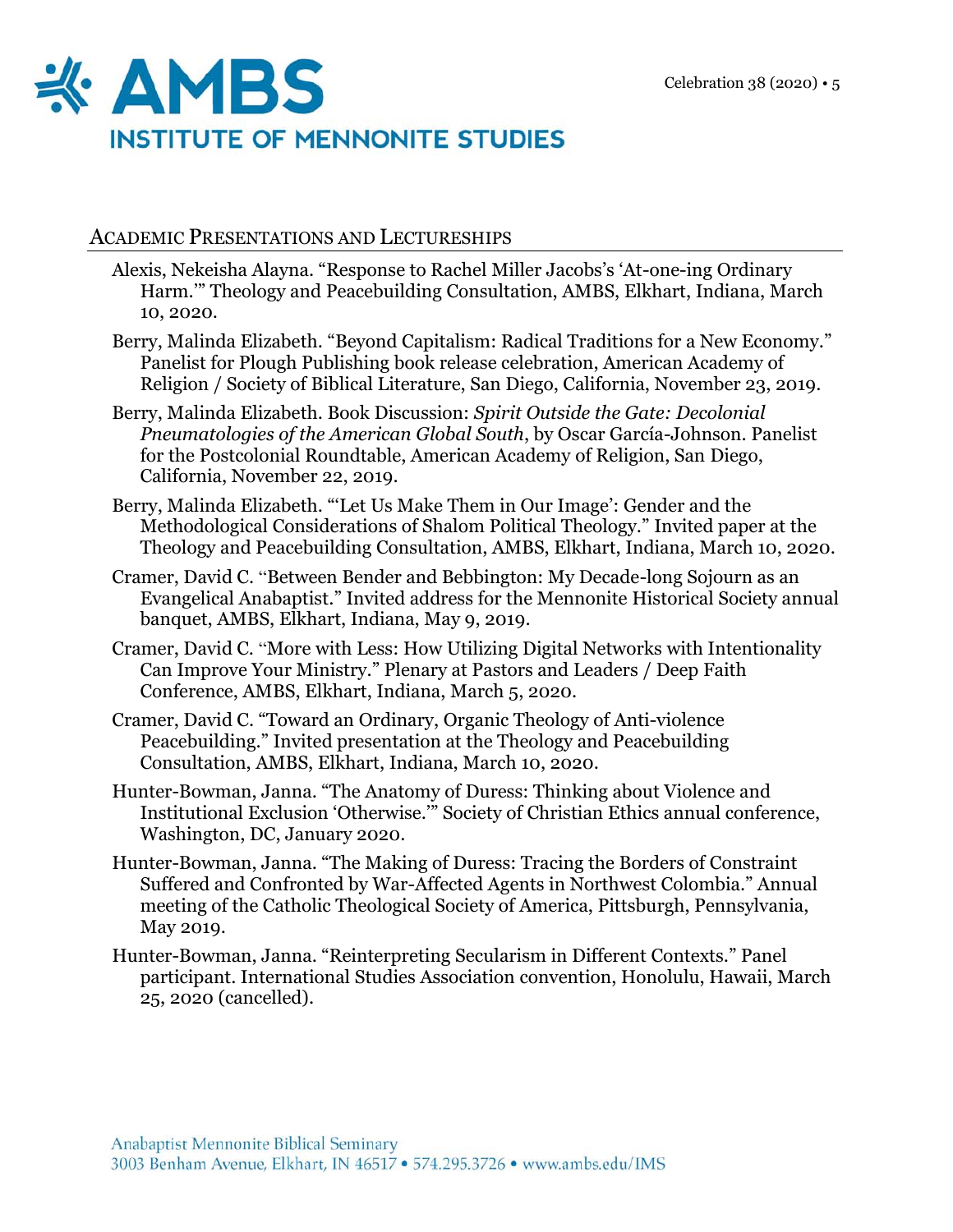

## ACADEMIC PRESENTATIONS AND LECTURESHIPS

- Alexis, Nekeisha Alayna. "Response to Rachel Miller Jacobs's 'At-one-ing Ordinary Harm.'" Theology and Peacebuilding Consultation, AMBS, Elkhart, Indiana, March 10, 2020.
- Berry, Malinda Elizabeth. "Beyond Capitalism: Radical Traditions for a New Economy." Panelist for Plough Publishing book release celebration, American Academy of Religion / Society of Biblical Literature, San Diego, California, November 23, 2019.
- Berry, Malinda Elizabeth. Book Discussion: *Spirit Outside the Gate: Decolonial Pneumatologies of the American Global South*, by Oscar García-Johnson. Panelist for the Postcolonial Roundtable, American Academy of Religion, San Diego, California, November 22, 2019.
- Berry, Malinda Elizabeth. "'Let Us Make Them in Our Image': Gender and the Methodological Considerations of Shalom Political Theology." Invited paper at the Theology and Peacebuilding Consultation, AMBS, Elkhart, Indiana, March 10, 2020.
- Cramer, David C. "Between Bender and Bebbington: My Decade-long Sojourn as an Evangelical Anabaptist." Invited address for the Mennonite Historical Society annual banquet, AMBS, Elkhart, Indiana, May 9, 2019.
- Cramer, David C. "More with Less: How Utilizing Digital Networks with Intentionality Can Improve Your Ministry." Plenary at Pastors and Leaders / Deep Faith Conference, AMBS, Elkhart, Indiana, March 5, 2020.
- Cramer, David C. "Toward an Ordinary, Organic Theology of Anti-violence Peacebuilding." Invited presentation at the Theology and Peacebuilding Consultation, AMBS, Elkhart, Indiana, March 10, 2020.
- Hunter-Bowman, Janna. "The Anatomy of Duress: Thinking about Violence and Institutional Exclusion 'Otherwise.'" Society of Christian Ethics annual conference, Washington, DC, January 2020.
- Hunter-Bowman, Janna. "The Making of Duress: Tracing the Borders of Constraint Suffered and Confronted by War-Affected Agents in Northwest Colombia." Annual meeting of the Catholic Theological Society of America, Pittsburgh, Pennsylvania, May 2019.
- Hunter-Bowman, Janna. "Reinterpreting Secularism in Different Contexts." Panel participant. International Studies Association convention, Honolulu, Hawaii, March 25, 2020 (cancelled).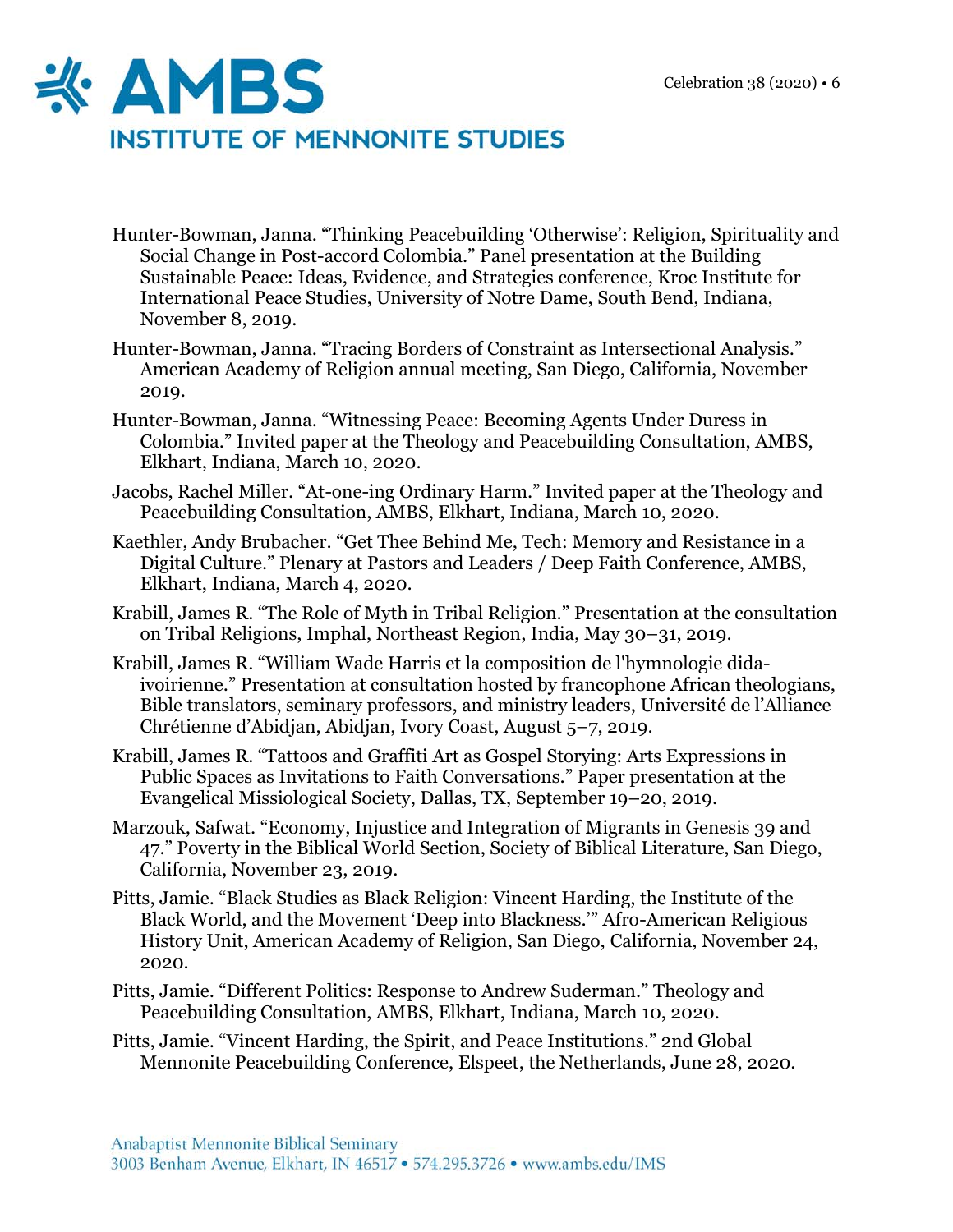

- Hunter-Bowman, Janna. "Thinking Peacebuilding 'Otherwise': Religion, Spirituality and Social Change in Post-accord Colombia." Panel presentation at the Building Sustainable Peace: Ideas, Evidence, and Strategies conference, Kroc Institute for International Peace Studies, University of Notre Dame, South Bend, Indiana, November 8, 2019.
- Hunter-Bowman, Janna. "Tracing Borders of Constraint as Intersectional Analysis." American Academy of Religion annual meeting, San Diego, California, November 2019.
- Hunter-Bowman, Janna. "Witnessing Peace: Becoming Agents Under Duress in Colombia." Invited paper at the Theology and Peacebuilding Consultation, AMBS, Elkhart, Indiana, March 10, 2020.
- Jacobs, Rachel Miller. "At-one-ing Ordinary Harm." Invited paper at the Theology and Peacebuilding Consultation, AMBS, Elkhart, Indiana, March 10, 2020.
- Kaethler, Andy Brubacher. "Get Thee Behind Me, Tech: Memory and Resistance in a Digital Culture." Plenary at Pastors and Leaders / Deep Faith Conference, AMBS, Elkhart, Indiana, March 4, 2020.
- Krabill, James R. "The Role of Myth in Tribal Religion." Presentation at the consultation on Tribal Religions, Imphal, Northeast Region, India, May 30–31, 2019.
- Krabill, James R. "William Wade Harris et la composition de l'hymnologie didaivoirienne." Presentation at consultation hosted by francophone African theologians, Bible translators, seminary professors, and ministry leaders, Université de l'Alliance Chrétienne d'Abidjan, Abidjan, Ivory Coast, August 5–7, 2019.
- Krabill, James R. "Tattoos and Graffiti Art as Gospel Storying: Arts Expressions in Public Spaces as Invitations to Faith Conversations." Paper presentation at the Evangelical Missiological Society, Dallas, TX, September 19–20, 2019.
- Marzouk, Safwat. "Economy, Injustice and Integration of Migrants in Genesis 39 and 47." Poverty in the Biblical World Section, Society of Biblical Literature, San Diego, California, November 23, 2019.
- Pitts, Jamie. "Black Studies as Black Religion: Vincent Harding, the Institute of the Black World, and the Movement 'Deep into Blackness.'" Afro-American Religious History Unit, American Academy of Religion, San Diego, California, November 24, 2020.
- Pitts, Jamie. "Different Politics: Response to Andrew Suderman." Theology and Peacebuilding Consultation, AMBS, Elkhart, Indiana, March 10, 2020.
- Pitts, Jamie. "Vincent Harding, the Spirit, and Peace Institutions." 2nd Global Mennonite Peacebuilding Conference, Elspeet, the Netherlands, June 28, 2020.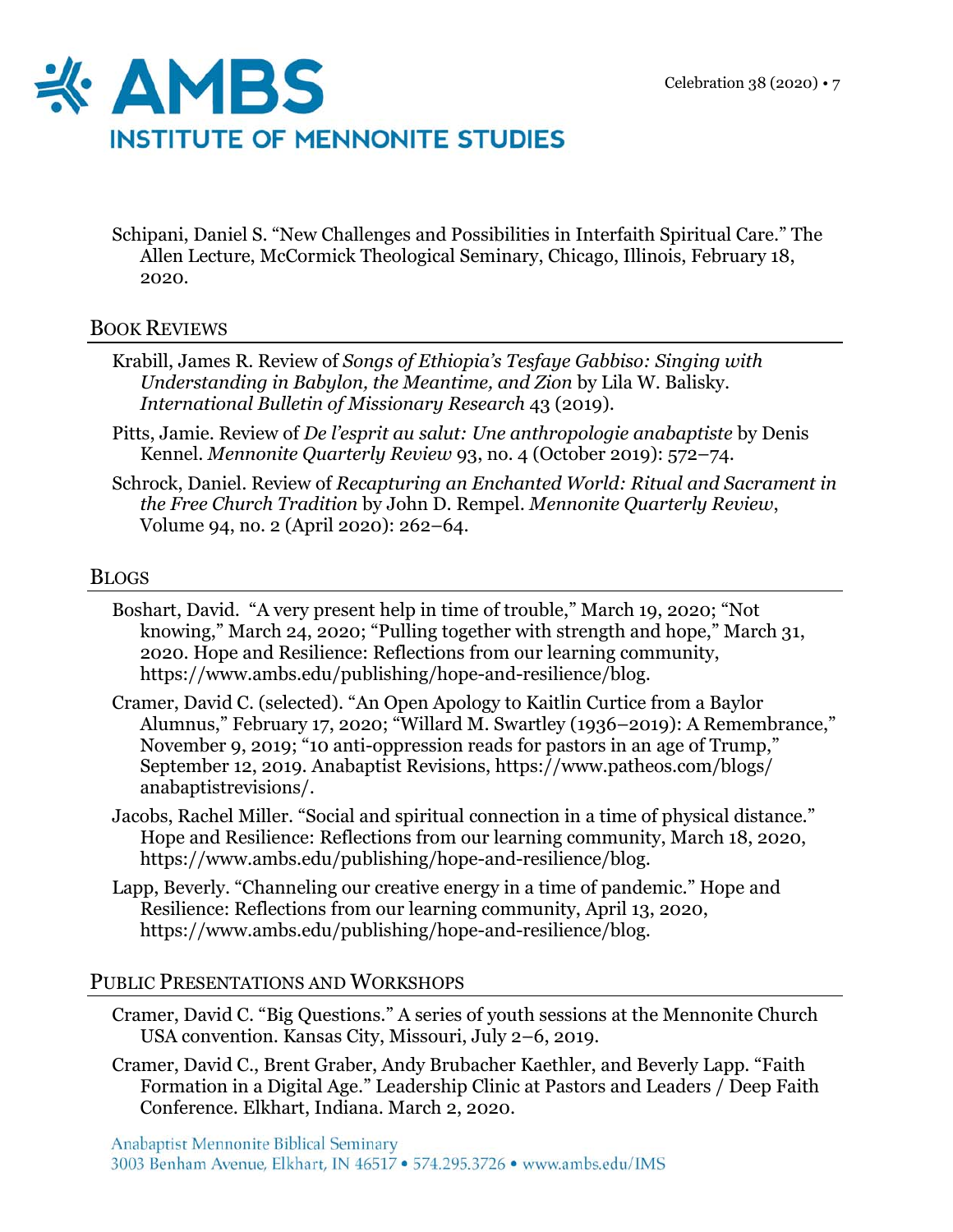

Schipani, Daniel S. "New Challenges and Possibilities in Interfaith Spiritual Care." The Allen Lecture, McCormick Theological Seminary, Chicago, Illinois, February 18, 2020.

## BOOK REVIEWS

- Krabill, James R. Review of *Songs of Ethiopia's Tesfaye Gabbiso: Singing with Understanding in Babylon, the Meantime, and Zion* by Lila W. Balisky. *International Bulletin of Missionary Research* 43 (2019).
- Pitts, Jamie. Review of *De l'esprit au salut: Une anthropologie anabaptiste* by Denis Kennel. *Mennonite Quarterly Review* 93, no. 4 (October 2019): 572–74.
- Schrock, Daniel. Review of *Recapturing an Enchanted World: Ritual and Sacrament in the Free Church Tradition* by John D. Rempel. *Mennonite Quarterly Review*, Volume 94, no. 2 (April 2020): 262–64.

## BLOGS

- Boshart, David. "A very present help in time of trouble," March 19, 2020; "Not knowing," March 24, 2020; "Pulling together with strength and hope," March 31, 2020. Hope and Resilience: Reflections from our learning community, https://www.ambs.edu/publishing/hope-and-resilience/blog.
- Cramer, David C. (selected). "An Open Apology to Kaitlin Curtice from a Baylor Alumnus," February 17, 2020; "Willard M. Swartley (1936–2019): A Remembrance," November 9, 2019; "10 anti-oppression reads for pastors in an age of Trump," September 12, 2019. Anabaptist Revisions, https://www.patheos.com/blogs/ anabaptistrevisions/.
- Jacobs, Rachel Miller. "Social and spiritual connection in a time of physical distance." Hope and Resilience: Reflections from our learning community, March 18, 2020, https://www.ambs.edu/publishing/hope-and-resilience/blog.
- Lapp, Beverly. "Channeling our creative energy in a time of pandemic." Hope and Resilience: Reflections from our learning community, April 13, 2020, https://www.ambs.edu/publishing/hope-and-resilience/blog.

## PUBLIC PRESENTATIONS AND WORKSHOPS

- Cramer, David C. "Big Questions." A series of youth sessions at the Mennonite Church USA convention. Kansas City, Missouri, July 2–6, 2019.
- Cramer, David C., Brent Graber, Andy Brubacher Kaethler, and Beverly Lapp. "Faith Formation in a Digital Age." Leadership Clinic at Pastors and Leaders / Deep Faith Conference. Elkhart, Indiana. March 2, 2020.

Anabaptist Mennonite Biblical Seminary 3003 Benham Avenue, Elkhart, IN 46517 · 574.295.3726 · www.ambs.edu/IMS